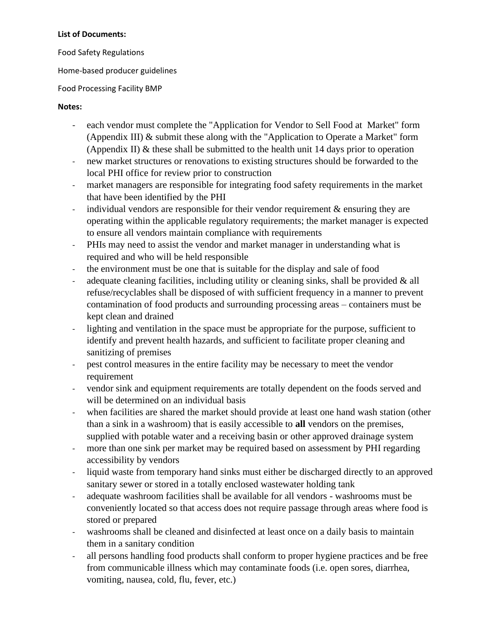## **List of Documents:**

Food Safety Regulations

Home-based producer guidelines

## Food Processing Facility BMP

## **Notes:**

- each vendor must complete the "Application for Vendor to Sell Food at Market" form (Appendix III) & submit these along with the "Application to Operate a Market" form (Appendix II) & these shall be submitted to the health unit 14 days prior to operation
- new market structures or renovations to existing structures should be forwarded to the local PHI office for review prior to construction
- market managers are responsible for integrating food safety requirements in the market that have been identified by the PHI
- individual vendors are responsible for their vendor requirement  $\&$  ensuring they are operating within the applicable regulatory requirements; the market manager is expected to ensure all vendors maintain compliance with requirements
- PHIs may need to assist the vendor and market manager in understanding what is required and who will be held responsible
- the environment must be one that is suitable for the display and sale of food
- adequate cleaning facilities, including utility or cleaning sinks, shall be provided  $\&$  all refuse/recyclables shall be disposed of with sufficient frequency in a manner to prevent contamination of food products and surrounding processing areas – containers must be kept clean and drained
- lighting and ventilation in the space must be appropriate for the purpose, sufficient to identify and prevent health hazards, and sufficient to facilitate proper cleaning and sanitizing of premises
- pest control measures in the entire facility may be necessary to meet the vendor requirement
- vendor sink and equipment requirements are totally dependent on the foods served and will be determined on an individual basis
- when facilities are shared the market should provide at least one hand wash station (other than a sink in a washroom) that is easily accessible to **all** vendors on the premises, supplied with potable water and a receiving basin or other approved drainage system
- more than one sink per market may be required based on assessment by PHI regarding accessibility by vendors
- liquid waste from temporary hand sinks must either be discharged directly to an approved sanitary sewer or stored in a totally enclosed wastewater holding tank
- adequate washroom facilities shall be available for all vendors washrooms must be conveniently located so that access does not require passage through areas where food is stored or prepared
- washrooms shall be cleaned and disinfected at least once on a daily basis to maintain them in a sanitary condition
- all persons handling food products shall conform to proper hygiene practices and be free from communicable illness which may contaminate foods (i.e. open sores, diarrhea, vomiting, nausea, cold, flu, fever, etc.)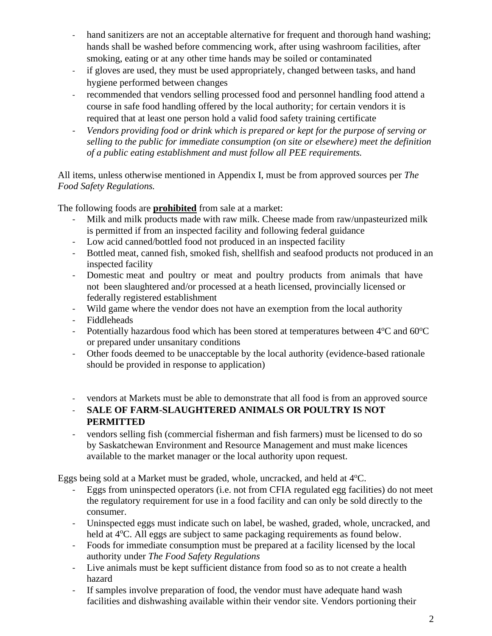- hand sanitizers are not an acceptable alternative for frequent and thorough hand washing; hands shall be washed before commencing work, after using washroom facilities, after smoking, eating or at any other time hands may be soiled or contaminated
- if gloves are used, they must be used appropriately, changed between tasks, and hand hygiene performed between changes
- recommended that vendors selling processed food and personnel handling food attend a course in safe food handling offered by the local authority; for certain vendors it is required that at least one person hold a valid food safety training certificate
- *Vendors providing food or drink which is prepared or kept for the purpose of serving or selling to the public for immediate consumption (on site or elsewhere) meet the definition of a public eating establishment and must follow all PEE requirements.*

All items, unless otherwise mentioned in Appendix I, must be from approved sources per *The Food Safety Regulations.* 

The following foods are **prohibited** from sale at a market:

- Milk and milk products made with raw milk. Cheese made from raw/unpasteurized milk is permitted if from an inspected facility and following federal guidance
- Low acid canned/bottled food not produced in an inspected facility
- Bottled meat, canned fish, smoked fish, shellfish and seafood products not produced in an inspected facility
- Domestic meat and poultry or meat and poultry products from animals that have not been slaughtered and/or processed at a heath licensed, provincially licensed or federally registered establishment
- Wild game where the vendor does not have an exemption from the local authority
- Fiddleheads
- Potentially hazardous food which has been stored at temperatures between  $4^{\circ}$ C and  $60^{\circ}$ C or prepared under unsanitary conditions
- Other foods deemed to be unacceptable by the local authority (evidence-based rationale should be provided in response to application)
- vendors at Markets must be able to demonstrate that all food is from an approved source
- **SALE OF FARM-SLAUGHTERED ANIMALS OR POULTRY IS NOT PERMITTED**
- vendors selling fish (commercial fisherman and fish farmers) must be licensed to do so by Saskatchewan Environment and Resource Management and must make licences available to the market manager or the local authority upon request.

Eggs being sold at a Market must be graded, whole, uncracked, and held at  $4^{\circ}C$ .

- Eggs from uninspected operators (i.e. not from CFIA regulated egg facilities) do not meet the regulatory requirement for use in a food facility and can only be sold directly to the consumer.
- Uninspected eggs must indicate such on label, be washed, graded, whole, uncracked, and held at 4<sup>o</sup>C. All eggs are subject to same packaging requirements as found below.
- Foods for immediate consumption must be prepared at a facility licensed by the local authority under *The Food Safety Regulations*
- Live animals must be kept sufficient distance from food so as to not create a health hazard
- If samples involve preparation of food, the vendor must have adequate hand wash facilities and dishwashing available within their vendor site. Vendors portioning their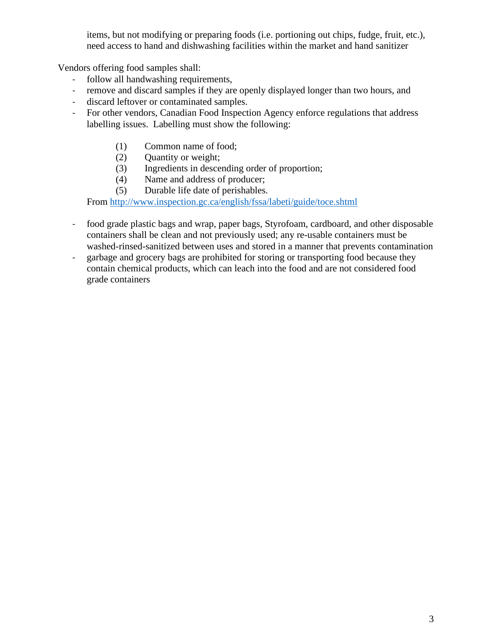items, but not modifying or preparing foods (i.e. portioning out chips, fudge, fruit, etc.), need access to hand and dishwashing facilities within the market and hand sanitizer

Vendors offering food samples shall:

- follow all handwashing requirements,
- remove and discard samples if they are openly displayed longer than two hours, and
- discard leftover or contaminated samples.
- For other vendors, Canadian Food Inspection Agency enforce regulations that address labelling issues. Labelling must show the following:
	- (1) Common name of food;
	- (2) Quantity or weight;
	- (3) Ingredients in descending order of proportion;
	- (4) Name and address of producer;
	- (5) Durable life date of perishables.

From<http://www.inspection.gc.ca/english/fssa/labeti/guide/toce.shtml>

- food grade plastic bags and wrap, paper bags, Styrofoam, cardboard, and other disposable containers shall be clean and not previously used; any re-usable containers must be washed-rinsed-sanitized between uses and stored in a manner that prevents contamination
- garbage and grocery bags are prohibited for storing or transporting food because they contain chemical products, which can leach into the food and are not considered food grade containers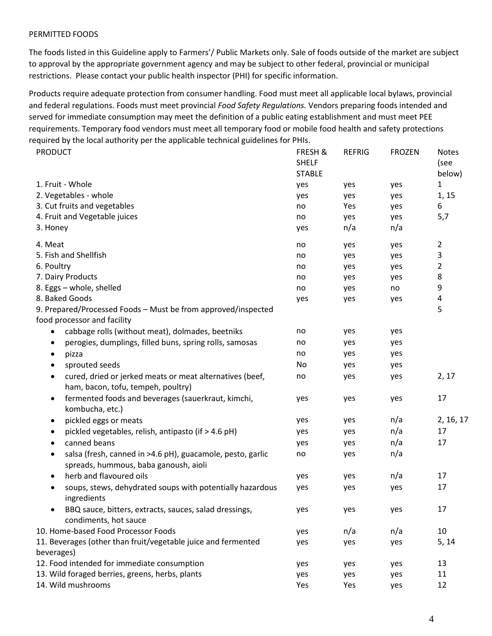## PERMITTED FOODS

The foods listed in this Guideline apply to Farmers'/ Public Markets only. Sale of foods outside of the market are subject to approval by the appropriate government agency and may be subject to other federal, provincial or municipal restrictions. Please contact your public health inspector (PHI) for specific information.

Products require adequate protection from consumer handling. Food must meet all applicable local bylaws, provincial and federal regulations. Foods must meet provincial *Food Safety Regulations.* Vendors preparing foods intended and served for immediate consumption may meet the definition of a public eating establishment and must meet PEE requirements. Temporary food vendors must meet all temporary food or mobile food health and safety protections required by the local authority per the applicable technical guidelines for PHIs.

| <b>PRODUCT</b>                                                                                              | FRESH &<br><b>SHELF</b><br><b>STABLE</b> | <b>REFRIG</b> | <b>FROZEN</b> | <b>Notes</b><br>(see |
|-------------------------------------------------------------------------------------------------------------|------------------------------------------|---------------|---------------|----------------------|
| 1. Fruit - Whole                                                                                            | yes                                      | yes           | yes           | below)<br>1          |
| 2. Vegetables - whole                                                                                       | yes                                      | yes           | yes           | 1, 15                |
| 3. Cut fruits and vegetables                                                                                | no                                       | Yes           | yes           | 6                    |
| 4. Fruit and Vegetable juices                                                                               | no                                       | yes           | yes           | 5,7                  |
| 3. Honey                                                                                                    | yes                                      | n/a           | n/a           |                      |
| 4. Meat                                                                                                     | no                                       | yes           | yes           | 2                    |
| 5. Fish and Shellfish                                                                                       | no                                       | yes           | yes           | 3                    |
| 6. Poultry                                                                                                  | no                                       | yes           | yes           | 2                    |
| 7. Dairy Products                                                                                           | no                                       | yes           | yes           | 8                    |
| 8. Eggs - whole, shelled                                                                                    | no                                       | yes           | no            | 9                    |
| 8. Baked Goods                                                                                              | yes                                      | yes           | yes           | 4                    |
| 9. Prepared/Processed Foods - Must be from approved/inspected                                               |                                          |               |               | 5                    |
| food processor and facility                                                                                 |                                          |               |               |                      |
| cabbage rolls (without meat), dolmades, beetniks<br>$\bullet$                                               | no                                       | yes           | yes           |                      |
| perogies, dumplings, filled buns, spring rolls, samosas<br>٠                                                | no                                       | yes           | yes           |                      |
| pizza<br>٠                                                                                                  | no                                       | yes           | yes           |                      |
| sprouted seeds<br>٠                                                                                         | No                                       | yes           | yes           |                      |
| cured, dried or jerked meats or meat alternatives (beef,<br>$\bullet$<br>ham, bacon, tofu, tempeh, poultry) | no                                       | yes           | yes           | 2, 17                |
| fermented foods and beverages (sauerkraut, kimchi,<br>$\bullet$<br>kombucha, etc.)                          | yes                                      | yes           | yes           | 17                   |
| pickled eggs or meats<br>$\bullet$                                                                          | yes                                      | yes           | n/a           | 2, 16, 17            |
| pickled vegetables, relish, antipasto (if > 4.6 pH)<br>٠                                                    | yes                                      | yes           | n/a           | 17                   |
| canned beans<br>٠                                                                                           | yes                                      | yes           | n/a           | 17                   |
| salsa (fresh, canned in >4.6 pH), guacamole, pesto, garlic<br>٠<br>spreads, hummous, baba ganoush, aioli    | no                                       | yes           | n/a           |                      |
| herb and flavoured oils<br>$\bullet$                                                                        | yes                                      | yes           | n/a           | 17                   |
| soups, stews, dehydrated soups with potentially hazardous<br>٠<br>ingredients                               | yes                                      | yes           | yes           | 17                   |
| BBQ sauce, bitters, extracts, sauces, salad dressings,<br>condiments, hot sauce                             | yes                                      | yes           | yes           | 17                   |
| 10. Home-based Food Processor Foods                                                                         | yes                                      | n/a           | n/a           | 10                   |
| 11. Beverages (other than fruit/vegetable juice and fermented                                               | yes                                      | yes           | yes           | 5, 14                |
| beverages)                                                                                                  |                                          |               |               |                      |
| 12. Food intended for immediate consumption                                                                 | yes                                      | yes           | yes           | 13                   |
| 13. Wild foraged berries, greens, herbs, plants                                                             | yes                                      | yes           | yes           | 11                   |
| 14. Wild mushrooms                                                                                          | Yes                                      | Yes           | yes           | 12                   |